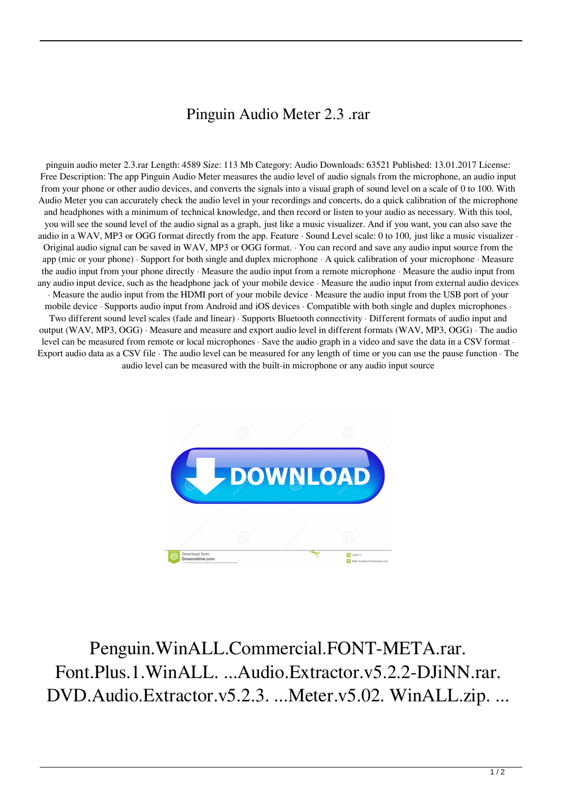## Pinguin Audio Meter 2.3 .rar

pinguin audio meter 2.3.rar Length: 4589 Size: 113 Mb Category: Audio Downloads: 63521 Published: 13.01.2017 License: Free Description: The app Pinguin Audio Meter measures the audio level of audio signals from the microphone, an audio input from your phone or other audio devices, and converts the signals into a visual graph of sound level on a scale of 0 to 100. With Audio Meter you can accurately check the audio level in your recordings and concerts, do a quick calibration of the microphone and headphones with a minimum of technical knowledge, and then record or listen to your audio as necessary. With this tool, you will see the sound level of the audio signal as a graph, just like a music visualizer. And if you want, you can also save the audio in a WAV, MP3 or OGG format directly from the app. Feature · Sound Level scale: 0 to 100, just like a music visualizer · Original audio signal can be saved in WAV, MP3 or OGG format. · You can record and save any audio input source from the app (mic or your phone) · Support for both single and duplex microphone · A quick calibration of your microphone · Measure the audio input from your phone directly · Measure the audio input from a remote microphone · Measure the audio input from any audio input device, such as the headphone jack of your mobile device · Measure the audio input from external audio devices · Measure the audio input from the HDMI port of your mobile device · Measure the audio input from the USB port of your mobile device · Supports audio input from Android and iOS devices · Compatible with both single and duplex microphones · Two different sound level scales (fade and linear) · Supports Bluetooth connectivity · Different formats of audio input and output (WAV, MP3, OGG) · Measure and measure and export audio level in different formats (WAV, MP3, OGG) · The audio level can be measured from remote or local microphones · Save the audio graph in a video and save the data in a CSV format · Export audio data as a CSV file · The audio level can be measured for any length of time or you can use the pause function · The audio level can be measured with the built-in microphone or any audio input source



Penguin.WinALL.Commercial.FONT-META.rar. Font.Plus.1.WinALL. ...Audio.Extractor.v5.2.2-DJiNN.rar. DVD.Audio.Extractor.v5.2.3. ...Meter.v5.02. WinALL.zip. ...